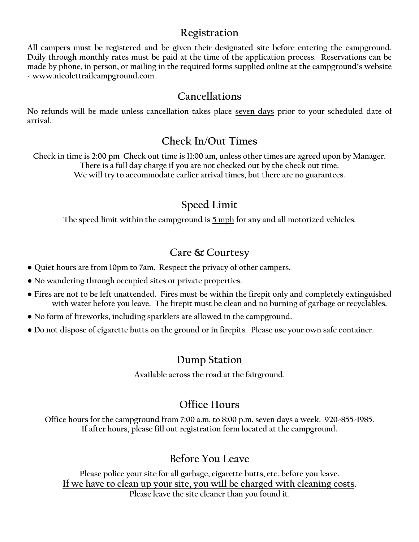#### **Registration**

**All campers must be registered and be given their designated site before entering the campground. Daily through monthly rates must be paid at the time of the application process. Reservations can be made by phone, in person, or mailing in the required forms supplied online at the campground's website - www.nicolettrailcampground.com.** 

### **Cancellations**

**No refunds will be made unless cancellation takes place seven days prior to your scheduled date of arrival.** 

### **Check In/Out Times**

**Check in time is 2:00 pm Check out time is 11:00 am, unless other times are agreed upon by Manager. There is a full day charge if you are not checked out by the check out time. We will try to accommodate earlier arrival times, but there are no guarantees.**

## **Speed Limit**

**The speed limit within the campground is 5 mph for any and all motorized vehicles.**

### **Care & Courtesy**

- **Quiet hours are from 10pm to 7am. Respect the privacy of other campers.**
- **● No wandering through occupied sites or private properties.**
- **● Fires are not to be left unattended. Fires must be within the firepit only and completely extinguished with water before you leave. The firepit must be clean and no burning of garbage or recyclables.**
- **● No form of fireworks, including sparklers are allowed in the campground.**
- **● Do not dispose of cigarette butts on the ground or in firepits. Please use your own safe container.**

### **Dump Station**

**Available across the road at the fairground.**

## **Office Hours**

**Office hours for the campground from 7:00 a.m. to 8:00 p.m. seven days a week. 920-855-1985. If after hours, please fill out registration form located at the campground.**

## **Before You Leave**

**Please police your site for all garbage, cigarette butts, etc. before you leave. If we have to clean up your site, you will be charged with cleaning costs. Please leave the site cleaner than you found it.**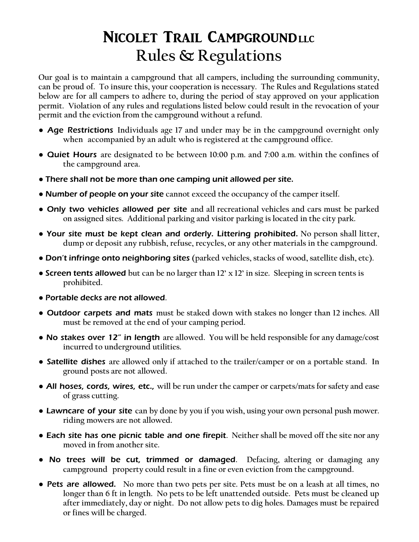# NICOLET TRAIL CAMPGROUNDLLC **Rules & Regulations**

**Our goal is to maintain a campground that all campers, including the surrounding community, can be proud of. To insure this, your cooperation is necessary. The Rules and Regulations stated below are for all campers to adhere to, during the period of stay approved on your application permit. Violation of any rules and regulations listed below could result in the revocation of your permit and the eviction from the campground without a refund.**

- Age Restrictions **Individuals age 17 and under may be in the campground overnight only when accompanied by an adult who is registered at the campground office.**
- Quiet Hours **are designated to be between 10:00 p.m. and 7:00 a.m. within the confines of the campground area.**
- There shall not be more than one camping unit allowed per site.
- Number of people on your site **cannot exceed the occupancy of the camper itself.**
- Only two vehicles allowed per site **and all recreational vehicles and cars must be parked on assigned sites. Additional parking and visitor parking is located in the city park.**
- Your site must be kept clean and orderly. Littering prohibited. **No person shall litter, dump or deposit any rubbish, refuse, recycles, or any other materials in the campground.**
- Don't infringe onto neighboring sites **(parked vehicles, stacks of wood, satellite dish, etc).**
- Screen tents allowed **but can be no larger than 12' x 12' in size. Sleeping in screen tents is prohibited.**
- Portable decks are not allowed**.**
- Outdoor carpets and mats **must be staked down with stakes no longer than 12 inches. All must be removed at the end of your camping period.**
- No stakes over 12" in length **are allowed. You will be held responsible for any damage/cost incurred to underground utilities.**
- Satellite dishes **are allowed only if attached to the trailer/camper or on a portable stand. In ground posts are not allowed.**
- All hoses, cords, wires, etc., **will be run under the camper or carpets/mats for safety and ease of grass cutting.**
- Lawncare of your site **can by done by you if you wish, using your own personal push mower. riding mowers are not allowed.**
- Each site has one picnic table and one firepit**. Neither shall be moved off the site nor any moved in from another site.**
- No trees will be cut, trimmed or damaged**. Defacing, altering or damaging any campground property could result in a fine or even eviction from the campground.**
- Pets are allowed. **No more than two pets per site. Pets must be on a leash at all times, no longer than 6 ft in length. No pets to be left unattended outside. Pets must be cleaned up after immediately, day or night. Do not allow pets to dig holes. Damages must be repaired or fines will be charged.**